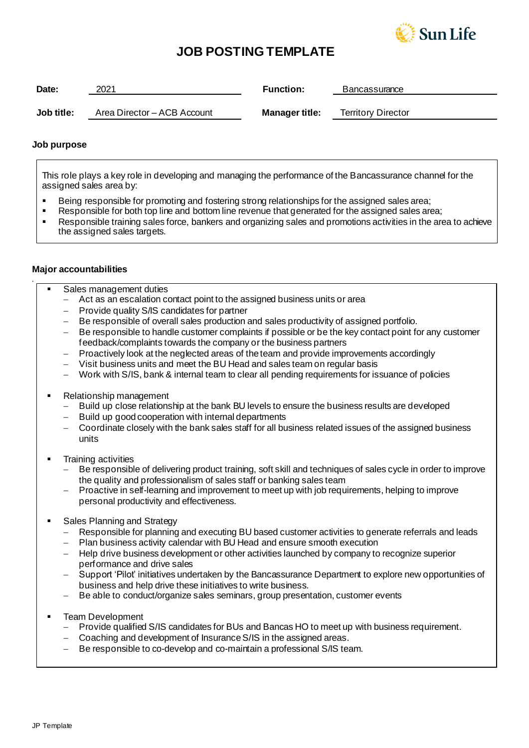

# **JOB POSTING TEMPLATE**

| Date:      | 2021                        | <b>Function:</b>      | Bancassurance             |  |
|------------|-----------------------------|-----------------------|---------------------------|--|
| Job title: | Area Director - ACB Account | <b>Manager title:</b> | <b>Territory Director</b> |  |

### **Job purpose**

This role plays a key role in developing and managing the performance of the Bancassurance channel for the assigned sales area by:

- **EXECT:** Being responsible for promoting and fostering strong relationships for the assigned sales area;
- Responsible for both top line and bottom line revenue that generated for the assigned sales area;
- Responsible training sales force, bankers and organizing sales and promotions activities in the area to achieve the assigned sales targets.

#### **Major accountabilities**

*.*

- Sales management duties
	- − Act as an escalation contact point to the assigned business units or area
	- Provide quality S/IS candidates for partner
	- − Be responsible of overall sales production and sales productivity of assigned portfolio.
	- − Be responsible to handle customer complaints if possible or be the key contact point for any customer feedback/complaints towards the company or the business partners
	- − Proactively look at the neglected areas of the team and provide improvements accordingly
	- − Visit business units and meet the BU Head and sales team on regular basis
	- − Work with S/IS, bank & internal team to clear all pending requirements for issuance of policies
- Relationship management
	- − Build up close relationship at the bank BU levels to ensure the business results are developed
	- − Build up good cooperation with internal departments
	- − Coordinate closely with the bank sales staff for all business related issues of the assigned business units
- **Training activities** 
	- Be responsible of delivering product training, soft skill and techniques of sales cycle in order to improve the quality and professionalism of sales staff or banking sales team
	- Proactive in self-learning and improvement to meet up with job requirements, helping to improve personal productivity and effectiveness.
- Sales Planning and Strategy
	- Responsible for planning and executing BU based customer activities to generate referrals and leads
	- Plan business activity calendar with BU Head and ensure smooth execution
	- − Help drive business development or other activities launched by company to recognize superior performance and drive sales
	- Support 'Pilot' initiatives undertaken by the Bancassurance Department to explore new opportunities of business and help drive these initiatives to write business.
	- Be able to conduct/organize sales seminars, group presentation, customer events
- **Team Development** 
	- − Provide qualified S/IS candidates for BUs and Bancas HO to meet up with business requirement.
	- − Coaching and development of Insurance S/IS in the assigned areas.
	- − Be responsible to co-develop and co-maintain a professional S/IS team.